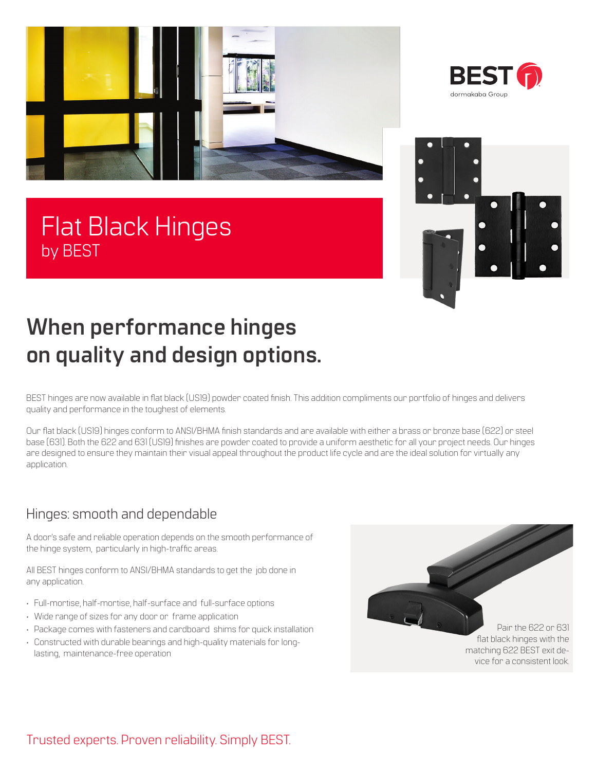







# **When performance hinges on quality and design options.**

BEST hinges are now available in flat black (US19) powder coated finish. This addition compliments our portfolio of hinges and delivers quality and performance in the toughest of elements.

Our flat black (US19) hinges conform to ANSI/BHMA finish standards and are available with either a brass or bronze base (622) or steel base (631). Both the 622 and 631 (US19) finishes are powder coated to provide a uniform aesthetic for all your project needs. Our hinges are designed to ensure they maintain their visual appeal throughout the product life cycle and are the ideal solution for virtually any application.

## Hinges: smooth and dependable

A door's safe and reliable operation depends on the smooth performance of the hinge system, particularly in high-traffic areas.

All BEST hinges conform to ANSI/BHMA standards to get the job done in any application.

- Full-mortise, half-mortise, half-surface and full-surface options
- Wide range of sizes for any door or frame application
- Package comes with fasteners and cardboard shims for quick installation
- Constructed with durable bearings and high-quality materials for longlasting, maintenance-free operation

Pair the 622 or 631 flat black hinges with the matching 622 BEST exit device for a consistent look.

## Trusted experts. Proven reliability. Simply BEST.